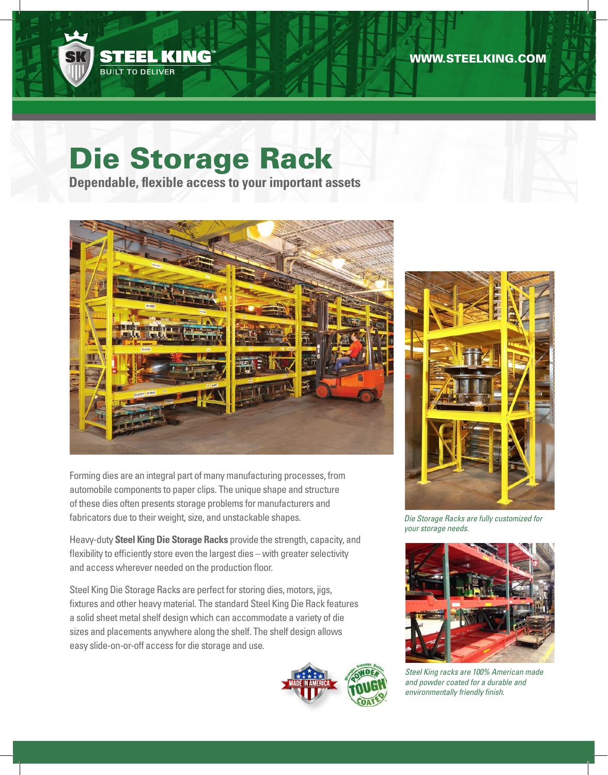

# Die Storage Rack

**Dependable, flexible access to your important assets**



Forming dies are an integral part of many manufacturing processes, from automobile components to paper clips. The unique shape and structure of these dies often presents storage problems for manufacturers and fabricators due to their weight, size, and unstackable shapes.

Heavy-duty **Steel King Die Storage Racks** provide the strength, capacity, and flexibility to efficiently store even the largest dies – with greater selectivity and access wherever needed on the production floor.

Steel King Die Storage Racks are perfect for storing dies, motors, jigs, fixtures and other heavy material. The standard Steel King Die Rack features a solid sheet metal shelf design which can accommodate a variety of die sizes and placements anywhere along the shelf. The shelf design allows easy slide-on-or-off access for die storage and use.





*Die Storage Racks are fully customized for your storage needs.*



*Steel King racks are 100% American made and powder coated for a durable and environmentally friendly finish.*